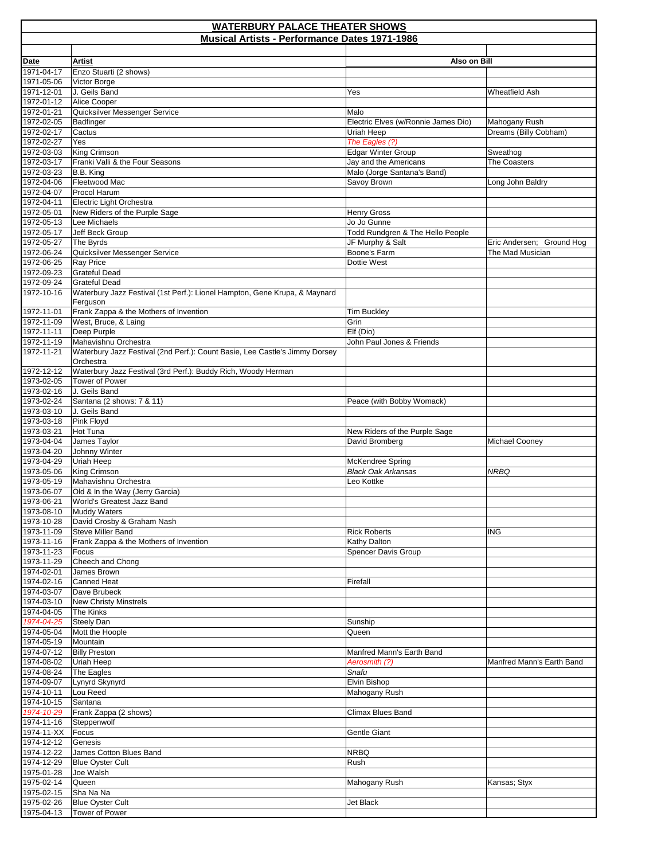| <b>WATERBURY PALACE THEATER SHOWS</b>                |                                                                                                     |                                                   |                                        |  |
|------------------------------------------------------|-----------------------------------------------------------------------------------------------------|---------------------------------------------------|----------------------------------------|--|
| <b>Musical Artists - Performance Dates 1971-1986</b> |                                                                                                     |                                                   |                                        |  |
| <b>Date</b>                                          | <b>Artist</b>                                                                                       | Also on Bill                                      |                                        |  |
| 1971-04-17                                           | Enzo Stuarti (2 shows)                                                                              |                                                   |                                        |  |
| 1971-05-06                                           | Victor Borge                                                                                        |                                                   |                                        |  |
| 1971-12-01                                           | J. Geils Band                                                                                       | Yes                                               | <b>Wheatfield Ash</b>                  |  |
| 1972-01-12                                           | Alice Cooper                                                                                        |                                                   |                                        |  |
| 1972-01-21                                           | Quicksilver Messenger Service                                                                       | Malo                                              |                                        |  |
| 1972-02-05<br>1972-02-17                             | Badfinger<br>Cactus                                                                                 | Electric Elves (w/Ronnie James Dio)<br>Uriah Heep | Mahogany Rush<br>Dreams (Billy Cobham) |  |
| 1972-02-27                                           | Yes                                                                                                 | The Eagles (?)                                    |                                        |  |
| 1972-03-03                                           | King Crimson                                                                                        | <b>Edgar Winter Group</b>                         | Sweathog                               |  |
| 1972-03-17                                           | Franki Valli & the Four Seasons                                                                     | Jay and the Americans                             | The Coasters                           |  |
| 1972-03-23                                           | B.B. King                                                                                           | Malo (Jorge Santana's Band)                       |                                        |  |
| 1972-04-06                                           | Fleetwood Mac                                                                                       | Savoy Brown                                       | Long John Baldry                       |  |
| 1972-04-07<br>1972-04-11                             | Procol Harum<br>Electric Light Orchestra                                                            |                                                   |                                        |  |
| 1972-05-01                                           | New Riders of the Purple Sage                                                                       | <b>Henry Gross</b>                                |                                        |  |
| 1972-05-13                                           | Lee Michaels                                                                                        | Jo Jo Gunne                                       |                                        |  |
| 1972-05-17                                           | Jeff Beck Group                                                                                     | Todd Rundgren & The Hello People                  |                                        |  |
| 1972-05-27                                           | The Byrds                                                                                           | JF Murphy & Salt                                  | Eric Andersen; Ground Hog              |  |
| 1972-06-24                                           | Quicksilver Messenger Service                                                                       | Boone's Farm                                      | The Mad Musician                       |  |
| 1972-06-25                                           | <b>Ray Price</b>                                                                                    | Dottie West                                       |                                        |  |
| 1972-09-23<br>1972-09-24                             | <b>Grateful Dead</b><br><b>Grateful Dead</b>                                                        |                                                   |                                        |  |
| 1972-10-16                                           | Waterbury Jazz Festival (1st Perf.): Lionel Hampton, Gene Krupa, & Maynard                          |                                                   |                                        |  |
|                                                      | Ferguson                                                                                            |                                                   |                                        |  |
| 1972-11-01                                           | Frank Zappa & the Mothers of Invention                                                              | <b>Tim Buckley</b>                                |                                        |  |
| 1972-11-09                                           | West, Bruce, & Laing                                                                                | Grin                                              |                                        |  |
| 1972-11-11                                           | Deep Purple                                                                                         | Elf (Dio)                                         |                                        |  |
| 1972-11-19<br>1972-11-21                             | Mahavishnu Orchestra<br>Waterbury Jazz Festival (2nd Perf.): Count Basie, Lee Castle's Jimmy Dorsey | John Paul Jones & Friends                         |                                        |  |
|                                                      | Orchestra                                                                                           |                                                   |                                        |  |
| 1972-12-12                                           | Waterbury Jazz Festival (3rd Perf.): Buddy Rich, Woody Herman                                       |                                                   |                                        |  |
| 1973-02-05                                           | <b>Tower of Power</b>                                                                               |                                                   |                                        |  |
| 1973-02-16                                           | J. Geils Band                                                                                       |                                                   |                                        |  |
| 1973-02-24<br>1973-03-10                             | Santana (2 shows: 7 & 11)<br>J. Geils Band                                                          | Peace (with Bobby Womack)                         |                                        |  |
| 1973-03-18                                           | Pink Floyd                                                                                          |                                                   |                                        |  |
| 1973-03-21                                           | Hot Tuna                                                                                            | New Riders of the Purple Sage                     |                                        |  |
| 1973-04-04                                           | James Taylor                                                                                        | David Bromberg                                    | Michael Cooney                         |  |
| 1973-04-20                                           | Johnny Winter                                                                                       |                                                   |                                        |  |
| 1973-04-29                                           | Uriah Heep                                                                                          | McKendree Spring                                  |                                        |  |
| 1973-05-06<br>1973-05-19                             | King Crimson<br>Mahavishnu Orchestra                                                                | <b>Black Oak Arkansas</b><br>Leo Kottke           | NRBQ                                   |  |
| 1973-06-07                                           | Old & In the Way (Jerry Garcia)                                                                     |                                                   |                                        |  |
| 1973-06-21                                           | World's Greatest Jazz Band                                                                          |                                                   |                                        |  |
| 1973-08-10                                           | Muddy Waters                                                                                        |                                                   |                                        |  |
| 1973-10-28                                           | David Crosby & Graham Nash                                                                          |                                                   |                                        |  |
| 1973-11-09                                           | Steve Miller Band                                                                                   | <b>Rick Roberts</b>                               | <b>ING</b>                             |  |
| 1973-11-16<br>1973-11-23                             | Frank Zappa & the Mothers of Invention<br>Focus                                                     | Kathy Dalton<br>Spencer Davis Group               |                                        |  |
| 1973-11-29                                           | Cheech and Chong                                                                                    |                                                   |                                        |  |
| 1974-02-01                                           | James Brown                                                                                         |                                                   |                                        |  |
| 1974-02-16                                           | <b>Canned Heat</b>                                                                                  | Firefall                                          |                                        |  |
| 1974-03-07                                           | Dave Brubeck                                                                                        |                                                   |                                        |  |
| 1974-03-10                                           | <b>New Christy Minstrels</b>                                                                        |                                                   |                                        |  |
| 1974-04-05<br>1974-04-25                             | The Kinks<br><b>Steely Dan</b>                                                                      | Sunship                                           |                                        |  |
| 1974-05-04                                           | Mott the Hoople                                                                                     | Queen                                             |                                        |  |
| 1974-05-19                                           | Mountain                                                                                            |                                                   |                                        |  |
| 1974-07-12                                           | <b>Billy Preston</b>                                                                                | Manfred Mann's Earth Band                         |                                        |  |
| 1974-08-02                                           | Uriah Heep                                                                                          | Aerosmith (?)                                     | Manfred Mann's Earth Band              |  |
| 1974-08-24                                           | The Eagles                                                                                          | Snafu                                             |                                        |  |
| 1974-09-07<br>1974-10-11                             | Lynyrd Skynyrd<br>Lou Reed                                                                          | Elvin Bishop<br>Mahogany Rush                     |                                        |  |
| 1974-10-15                                           | Santana                                                                                             |                                                   |                                        |  |
| 1974-10-29                                           | Frank Zappa (2 shows)                                                                               | <b>Climax Blues Band</b>                          |                                        |  |
| 1974-11-16                                           | Steppenwolf                                                                                         |                                                   |                                        |  |
| 1974-11-XX                                           | Focus                                                                                               | Gentle Giant                                      |                                        |  |
| 1974-12-12                                           | Genesis                                                                                             |                                                   |                                        |  |
| 1974-12-22<br>1974-12-29                             | James Cotton Blues Band<br><b>Blue Oyster Cult</b>                                                  | <b>NRBQ</b><br>Rush                               |                                        |  |
| 1975-01-28                                           | Joe Walsh                                                                                           |                                                   |                                        |  |
| 1975-02-14                                           | Queen                                                                                               | Mahogany Rush                                     | Kansas; Styx                           |  |
| 1975-02-15                                           | Sha Na Na                                                                                           |                                                   |                                        |  |
| 1975-02-26                                           | <b>Blue Oyster Cult</b>                                                                             | Jet Black                                         |                                        |  |
| 1975-04-13                                           | Tower of Power                                                                                      |                                                   |                                        |  |